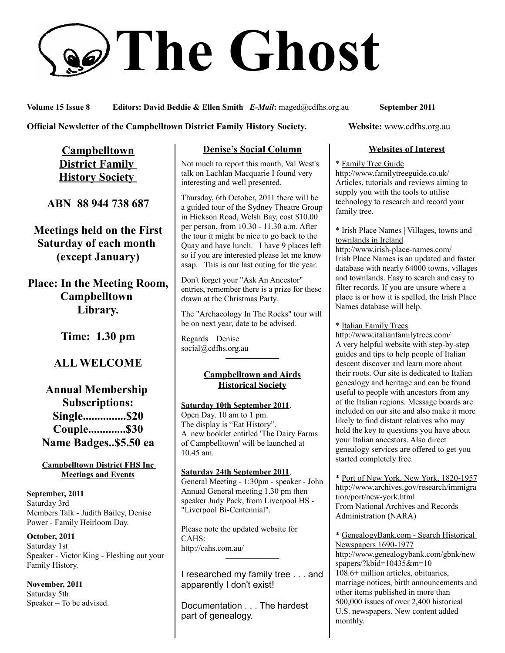# **The Ghost**

**Volume 15 Issue 8 Editors: David Beddie & Ellen Smith** *E-Mail***:** maged@cdfhs.org.au **September 2011**

#### **Official Newsletter of the Campbelltown District Family History Society. Website: www.cdfhs.org.au**

**Campbelltown District Family History Society** 

**ABN 88 944 738 687**

**Meetings held on the First Saturday of each month (except January)**

**Place: In the Meeting Room, Campbelltown Library.**

**Time: 1.30 pm**

# **ALL WELCOME**

# **Annual Membership Subscriptions: Single...............\$20 Couple.............\$30 Name Badges..\$5.50 ea**

#### **Campbelltown District FHS Inc Meetings and Events**

**September, 2011** Saturday 3rd Members Talk - Judith Bailey, Denise Power - Family Heirloom Day.

**October, 2011** Saturday 1st Speaker - Victor King - Fleshing out your Family History.

**November, 2011** Saturday 5th Speaker – To be advised.

# **Denise's Social Column**

Not much to report this month, Val West's talk on Lachlan Macquarie I found very interesting and well presented.

Thursday, 6th October, 2011 there will be a guided tour of the Sydney Theatre Group in Hickson Road, Welsh Bay, cost \$10.00 per person, from 10.30 - 11.30 a.m. After the tour it might be nice to go back to the Quay and have lunch. I have 9 places left so if you are interested please let me know asap. This is our last outing for the year.

Don't forget your "Ask An Ancestor" entries, remember there is a prize for these drawn at the Christmas Party.

The "Archaeology In The Rocks" tour will be on next year, date to be advised.

Regards Denise social@cdfhs.org.au **——————–**

#### **Campbelltown and Airds Historical Society**

#### **Saturday 10th September 2011**.

Open Day. 10 am to 1 pm. The display is "Eat History". A new booklet entitled 'The Dairy Farms of Campbelltown' will be launched at 10.45 am.

**Saturday 24th September 2011**. General Meeting - 1:30pm - speaker - John Annual General meeting 1.30 pm then speaker Judy Pack, from Liverpool HS - "Liverpool Bi-Centennial".

Please note the updated website for  $CAHS$ http://cahs.com.au/ **——————–**

I researched my family tree . . . and apparently I don't exist!

Documentation . . . The hardest part of genealogy.

#### **Websites of Interest**

#### \* Family Tree Guide

http://www.familytreeguide.co.uk/ Articles, tutorials and reviews aiming to supply you with the tools to utilise technology to research and record your family tree.

\* Irish Place Names | Villages, towns and townlands in Ireland

http://www.irish-place-names.com/ Irish Place Names is an updated and faster database with nearly 64000 towns, villages and townlands. Easy to search and easy to filter records. If you are unsure where a place is or how it is spelled, the Irish Place Names database will help.

\* Italian Family Trees

http://www.italianfamilytrees.com/ A very helpful website with step-by-step guides and tips to help people of Italian descent discover and learn more about their roots. Our site is dedicated to Italian genealogy and heritage and can be found useful to people with ancestors from any of the Italian regions. Message boards are included on our site and also make it more likely to find distant relatives who may hold the key to questions you have about your Italian ancestors. Also direct genealogy services are offered to get you started completely free.

\* Port of New York, New York, 1820-1957 http://www.archives.gov/research/immigra tion/port/new-york.html From National Archives and Records Administration (NARA)

\* GenealogyBank.com - Search Historical Newspapers 1690-1977

http://www.genealogybank.com/gbnk/new spapers/?kbid=10435&m=10 108.6+ million articles, obituaries, marriage notices, birth announcements and other items published in more than 500,000 issues of over 2,400 historical U.S. newspapers. New content added monthly.